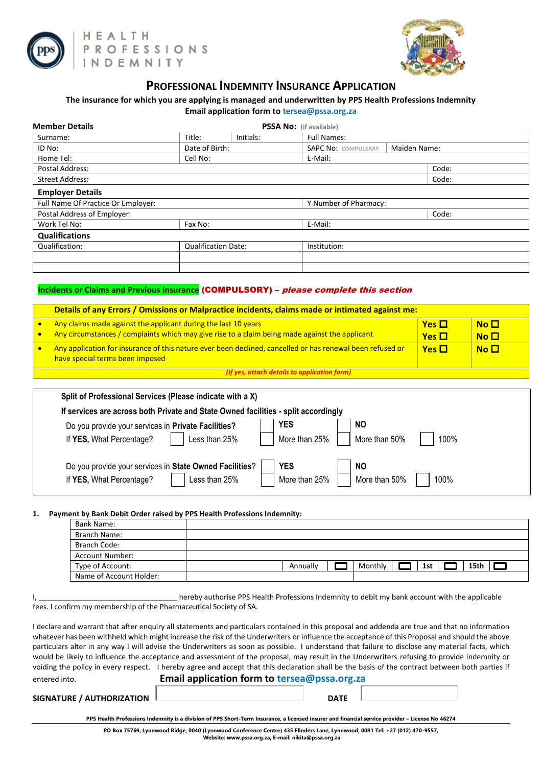



## **PROFESSIONAL INDEMNITY INSURANCE APPLICATION**

## **The insurance for which you are applying is managed and underwritten by PPS Health Professions Indemnity**

| <b>Member Details</b>              |                            |           | <b>PSSA No:</b> (if available)             |       |  |  |  |
|------------------------------------|----------------------------|-----------|--------------------------------------------|-------|--|--|--|
| Surname:                           | Title:                     | Initials: | <b>Full Names:</b>                         |       |  |  |  |
| ID No:                             | Date of Birth:             |           | Maiden Name:<br><b>SAPC No: COMPULSARY</b> |       |  |  |  |
| Home Tel:                          | Cell No:                   |           | E-Mail:                                    |       |  |  |  |
| Postal Address:                    |                            |           |                                            | Code: |  |  |  |
| <b>Street Address:</b>             |                            |           |                                            | Code: |  |  |  |
| <b>Employer Details</b>            |                            |           |                                            |       |  |  |  |
| Full Name Of Practice Or Employer: |                            |           | Y Number of Pharmacy:                      |       |  |  |  |
| Postal Address of Employer:        |                            |           |                                            | Code: |  |  |  |
| Work Tel No:                       | Fax No:                    |           | E-Mail:                                    |       |  |  |  |
| <b>Qualifications</b>              |                            |           |                                            |       |  |  |  |
| Qualification:                     | <b>Qualification Date:</b> |           | Institution:                               |       |  |  |  |
|                                    |                            |           |                                            |       |  |  |  |
|                                    |                            |           |                                            |       |  |  |  |

### **Incidents or Claims and Previous Insurance** (COMPULSORY) – please complete this section

| Details of any Errors / Omissions or Malpractice incidents, claims made or intimated against me:                                             |                   |             |  |  |  |  |  |
|----------------------------------------------------------------------------------------------------------------------------------------------|-------------------|-------------|--|--|--|--|--|
| Any claims made against the applicant during the last 10 years                                                                               | $Yes$ $\Box$      | $No$ $\Box$ |  |  |  |  |  |
| Any circumstances / complaints which may give rise to a claim being made against the applicant                                               | <b>Yes</b> $\Box$ | $No$ $\Box$ |  |  |  |  |  |
| Any application for insurance of this nature ever been declined, cancelled or has renewal been refused or<br>have special terms been imposed | $Yes \square$     | $No$ $\Box$ |  |  |  |  |  |
| (If yes, attach details to application form)                                                                                                 |                   |             |  |  |  |  |  |

| Split of Professional Services (Please indicate with a X)                          |               |                       |
|------------------------------------------------------------------------------------|---------------|-----------------------|
| If services are across both Private and State Owned facilities - split accordingly |               |                       |
| Do you provide your services in Private Facilities?                                | YES           | NO.                   |
| If YES, What Percentage?<br>Less than 25%                                          | More than 25% | More than 50%<br>100% |
| Do you provide your services in State Owned Facilities?                            | <b>YES</b>    | <b>NO</b>             |
| If YES, What Percentage?<br>Less than 25%                                          | More than 25% | 100%<br>More than 50% |

#### **1. Payment by Bank Debit Order raised by PPS Health Professions Indemnity:**

| Bank Name:              |  |  |  |          |         |     |      |  |
|-------------------------|--|--|--|----------|---------|-----|------|--|
| Branch Name:            |  |  |  |          |         |     |      |  |
| Branch Code:            |  |  |  |          |         |     |      |  |
| <b>Account Number:</b>  |  |  |  |          |         |     |      |  |
| Type of Account:        |  |  |  | Annually | Monthly | 1st | 15th |  |
| Name of Account Holder: |  |  |  |          |         |     |      |  |

#### I, metally authorise PPS Health Professions Indemnity to debit my bank account with the applicable fees. I confirm my membership of the Pharmaceutical Society of SA.

I declare and warrant that after enquiry all statements and particulars contained in this proposal and addenda are true and that no information whatever has been withheld which might increase the risk of the Underwriters or influence the acceptance of this Proposal and should the above particulars alter in any way I will advise the Underwriters as soon as possible. I understand that failure to disclose any material facts, which would be likely to influence the acceptance and assessment of the proposal, may result in the Underwriters refusing to provide indemnity or voiding the policy in every respect. I hereby agree and accept that this declaration shall be the basis of the contract between both parties if

| entered into.                    | Email application form to tersea@pssa.org.za |             |  |  |  |  |  |
|----------------------------------|----------------------------------------------|-------------|--|--|--|--|--|
| <b>SIGNATURE / AUTHORIZATION</b> |                                              | <b>DATE</b> |  |  |  |  |  |

**PPS Health Professions Indemnity is a division of PPS Short-Term Insurance, a licensed insurer and financial service provider – License No 46274**